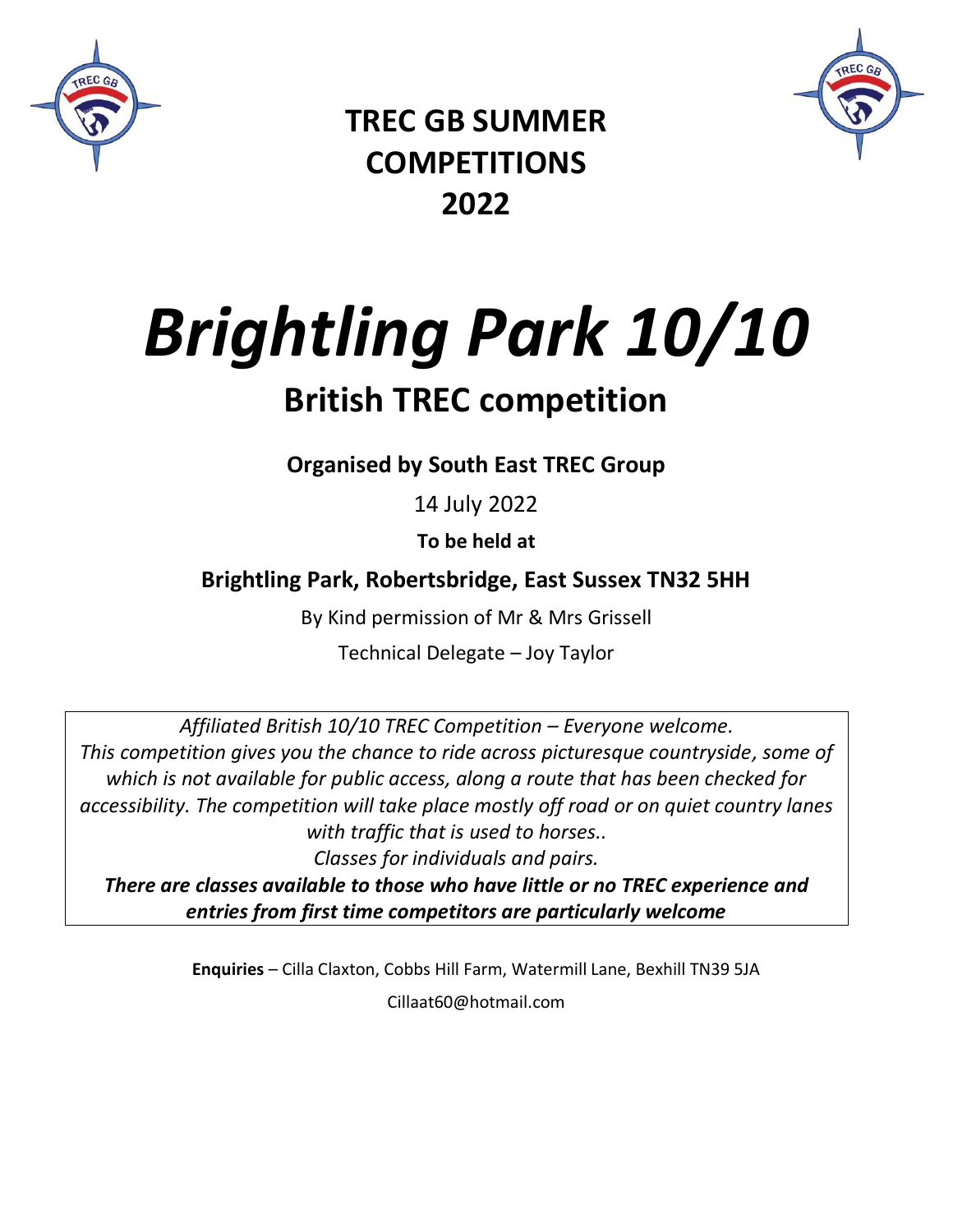



**TREC GB SUMMER COMPETITIONS 2022**

*Brightling Park 10/10*

# **British TREC competition**

**Organised by South East TREC Group**

14 July 2022

**To be held at**

**Brightling Park, Robertsbridge, East Sussex TN32 5HH**

By Kind permission of Mr & Mrs Grissell

Technical Delegate – Joy Taylor

*Affiliated British 10/10 TREC Competition – Everyone welcome. This competition gives you the chance to ride across picturesque countryside, some of which is not available for public access, along a route that has been checked for accessibility. The competition will take place mostly off road or on quiet country lanes with traffic that is used to horses..*

*Classes for individuals and pairs.* 

*There are classes available to those who have little or no TREC experience and entries from first time competitors are particularly welcome*

> **Enquiries** – Cilla Claxton, Cobbs Hill Farm, Watermill Lane, Bexhill TN39 5JA Cillaat60@hotmail.com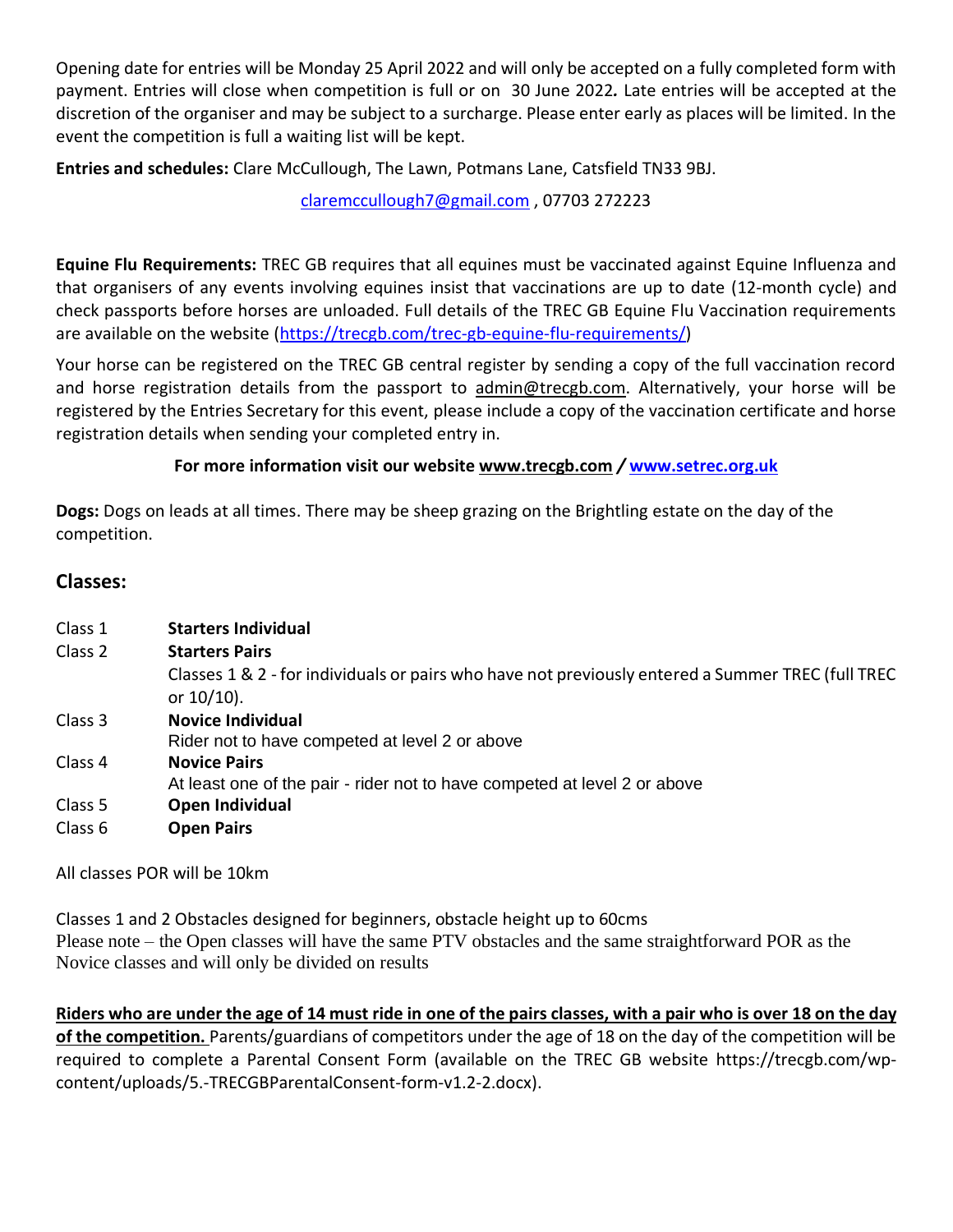Opening date for entries will be Monday 25 April 2022 and will only be accepted on a fully completed form with payment. Entries will close when competition is full or on 30 June 2022*.* Late entries will be accepted at the discretion of the organiser and may be subject to a surcharge. Please enter early as places will be limited. In the event the competition is full a waiting list will be kept.

**Entries and schedules:** Clare McCullough, The Lawn, Potmans Lane, Catsfield TN33 9BJ.

[claremccullough7@gmail.com](mailto:claremccullough7@gmail.com) , 07703 272223

**Equine Flu Requirements:** TREC GB requires that all equines must be vaccinated against Equine Influenza and that organisers of any events involving equines insist that vaccinations are up to date (12-month cycle) and check passports before horses are unloaded. Full details of the TREC GB Equine Flu Vaccination requirements are available on the website [\(https://trecgb.com/trec-gb-equine-flu-requirements/\)](https://trecgb.com/trec-gb-equine-flu-requirements/)

Your horse can be registered on the TREC GB central register by sending a copy of the full vaccination record and horse registration details from the passport to [admin@trecgb.com.](about:blank) Alternatively, your horse will be registered by the Entries Secretary for this event, please include a copy of the vaccination certificate and horse registration details when sending your completed entry in.

#### **For more information visit our website [www.trecgb.com](about:blank)** */* **[www.setrec.org.uk](http://www.setrec.org.uk/)**

**Dogs:** Dogs on leads at all times. There may be sheep grazing on the Brightling estate on the day of the competition.

#### **Classes:**

| Class 1 | <b>Starters Individual</b>                                                                                         |
|---------|--------------------------------------------------------------------------------------------------------------------|
| Class 2 | <b>Starters Pairs</b>                                                                                              |
|         | Classes 1 & 2 - for individuals or pairs who have not previously entered a Summer TREC (full TREC<br>or $10/10$ ). |
| Class 3 | <b>Novice Individual</b>                                                                                           |
|         | Rider not to have competed at level 2 or above                                                                     |
| Class 4 | <b>Novice Pairs</b>                                                                                                |
|         | At least one of the pair - rider not to have competed at level 2 or above                                          |
| Class 5 | Open Individual                                                                                                    |
| Class 6 | <b>Open Pairs</b>                                                                                                  |

All classes POR will be 10km

Classes 1 and 2 Obstacles designed for beginners, obstacle height up to 60cms Please note – the Open classes will have the same PTV obstacles and the same straightforward POR as the Novice classes and will only be divided on results

**Riders who are under the age of 14 must ride in one of the pairs classes, with a pair who is over 18 on the day of the competition.** Parents/guardians of competitors under the age of 18 on the day of the competition will be required to complete a Parental Consent Form (available on the TREC GB website https://trecgb.com/wpcontent/uploads/5.-TRECGBParentalConsent-form-v1.2-2.docx).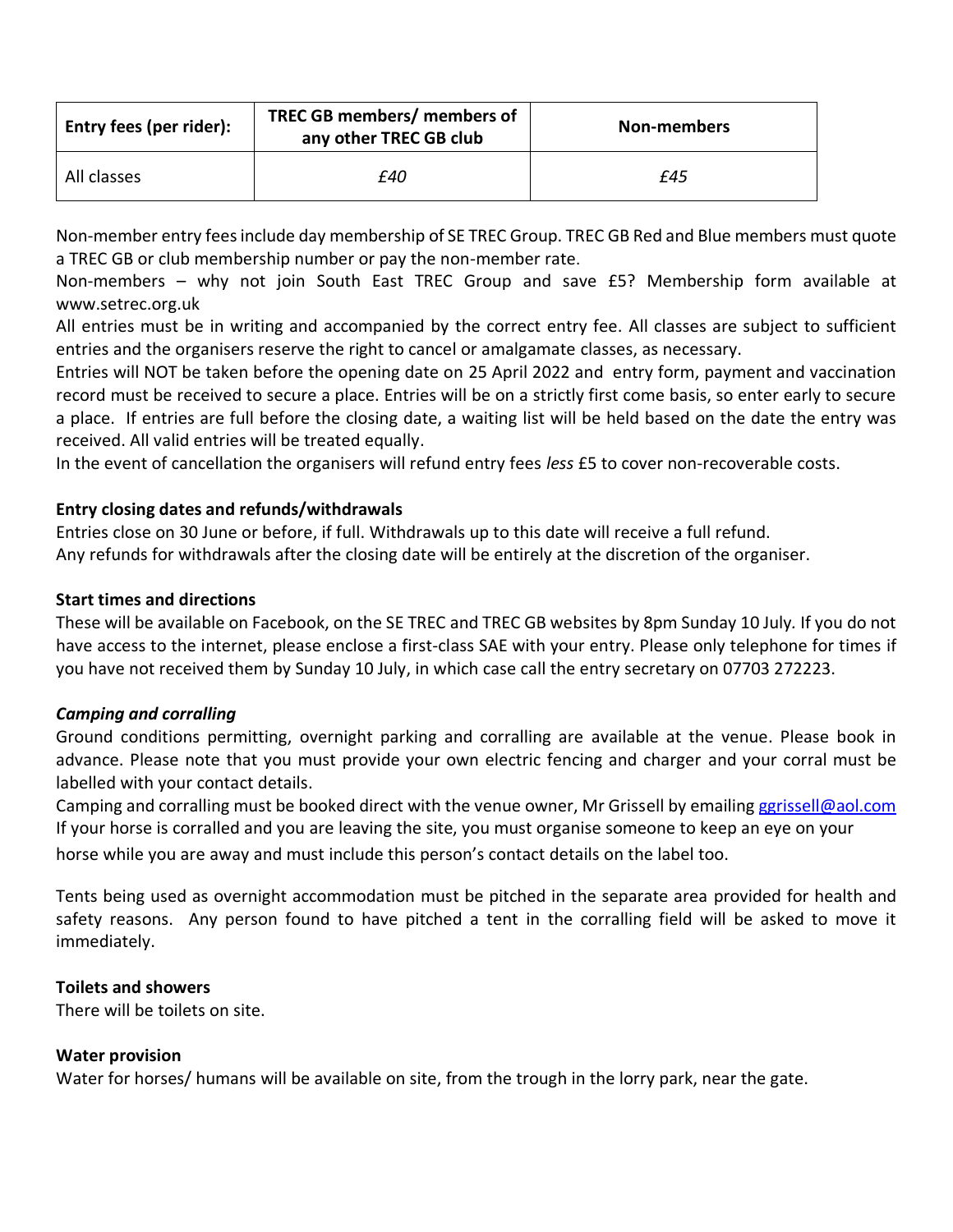| Entry fees (per rider): | TREC GB members/ members of<br>any other TREC GB club | Non-members |  |
|-------------------------|-------------------------------------------------------|-------------|--|
| All classes             | £40                                                   | £45         |  |

Non-member entry fees include day membership of SE TREC Group. TREC GB Red and Blue members must quote a TREC GB or club membership number or pay the non-member rate.

Non-members – why not join South East TREC Group and save £5? Membership form available at www.setrec.org.uk

All entries must be in writing and accompanied by the correct entry fee. All classes are subject to sufficient entries and the organisers reserve the right to cancel or amalgamate classes, as necessary.

Entries will NOT be taken before the opening date on 25 April 2022 and entry form, payment and vaccination record must be received to secure a place. Entries will be on a strictly first come basis, so enter early to secure a place. If entries are full before the closing date, a waiting list will be held based on the date the entry was received. All valid entries will be treated equally.

In the event of cancellation the organisers will refund entry fees *less* £5 to cover non-recoverable costs.

#### **Entry closing dates and refunds/withdrawals**

Entries close on 30 June or before, if full. Withdrawals up to this date will receive a full refund. Any refunds for withdrawals after the closing date will be entirely at the discretion of the organiser.

#### **Start times and directions**

These will be available on Facebook, on the SE TREC and TREC GB websites by 8pm Sunday 10 July*.* If you do not have access to the internet, please enclose a first-class SAE with your entry. Please only telephone for times if you have not received them by Sunday 10 July, in which case call the entry secretary on 07703 272223.

#### *Camping and corralling*

Ground conditions permitting, overnight parking and corralling are available at the venue. Please book in advance. Please note that you must provide your own electric fencing and charger and your corral must be labelled with your contact details.

Camping and corralling must be booked direct with the venue owner, Mr Grissell by emailin[g ggrissell@aol.com](mailto:ggrissell@aol.com) If your horse is corralled and you are leaving the site, you must organise someone to keep an eye on your

horse while you are away and must include this person's contact details on the label too.

Tents being used as overnight accommodation must be pitched in the separate area provided for health and safety reasons. Any person found to have pitched a tent in the corralling field will be asked to move it immediately.

#### **Toilets and showers**

There will be toilets on site.

#### **Water provision**

Water for horses/ humans will be available on site, from the trough in the lorry park, near the gate.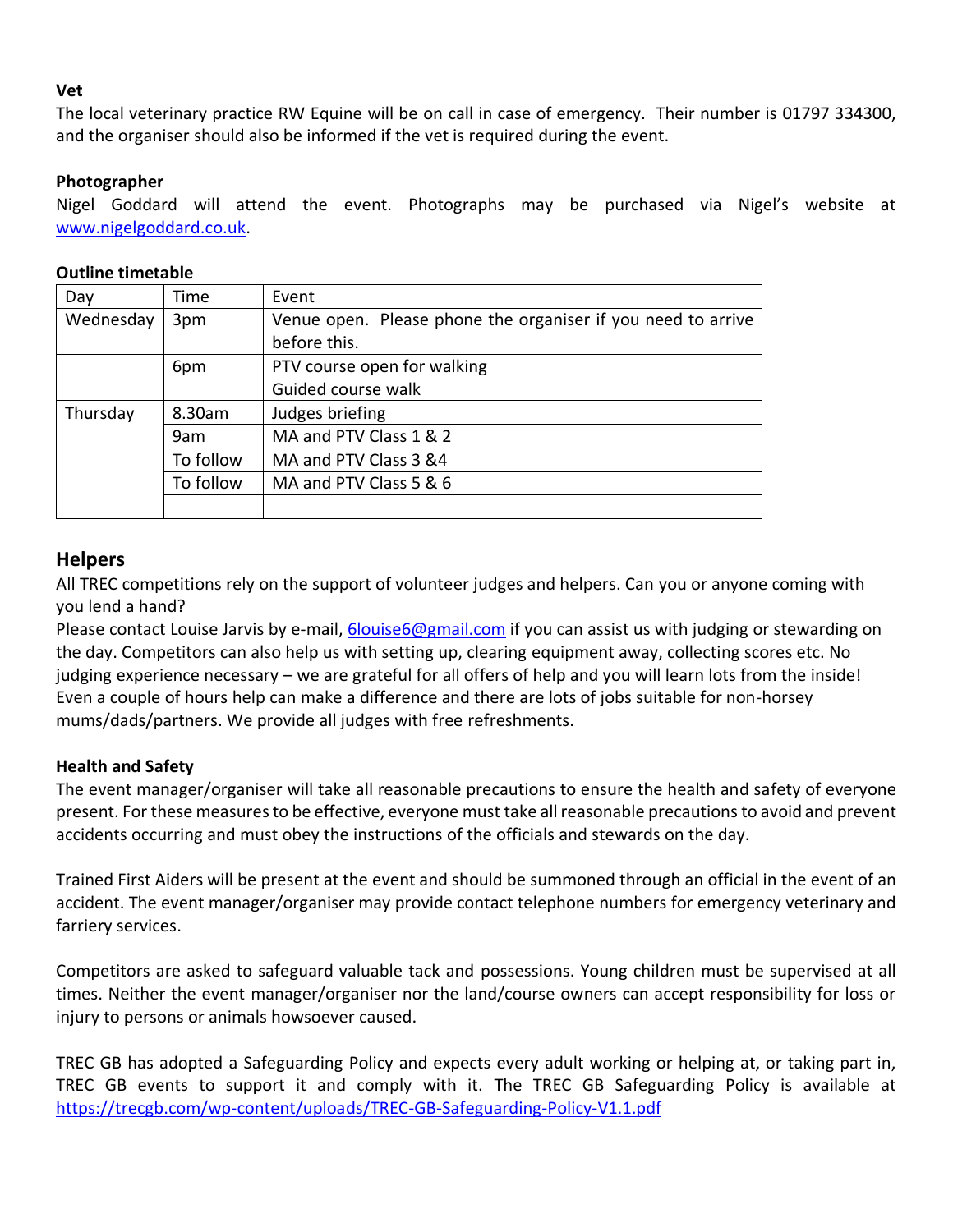#### **Vet**

The local veterinary practice RW Equine will be on call in case of emergency. Their number is 01797 334300, and the organiser should also be informed if the vet is required during the event.

#### **Photographer**

Nigel Goddard will attend the event. Photographs may be purchased via Nigel's website at [www.nigelgoddard.co.uk.](http://www.nigelgoddard.co.uk/)

| Day       | Time      | Event                                                        |
|-----------|-----------|--------------------------------------------------------------|
| Wednesday | 3pm       | Venue open. Please phone the organiser if you need to arrive |
|           |           | before this.                                                 |
|           | 6pm       | PTV course open for walking                                  |
|           |           | Guided course walk                                           |
| Thursday  | 8.30am    | Judges briefing                                              |
|           | 9am       | MA and PTV Class 1 & 2                                       |
|           | To follow | MA and PTV Class 3 &4                                        |
|           | To follow | MA and PTV Class 5 & 6                                       |
|           |           |                                                              |

#### **Outline timetable**

#### **Helpers**

All TREC competitions rely on the support of volunteer judges and helpers. Can you or anyone coming with you lend a hand?

Please contact Louise Jarvis by e-mail, [6louise6@gmail.com](mailto:6louise6@gmail.com) if you can assist us with judging or stewarding on the day. Competitors can also help us with setting up, clearing equipment away, collecting scores etc. No judging experience necessary – we are grateful for all offers of help and you will learn lots from the inside! Even a couple of hours help can make a difference and there are lots of jobs suitable for non-horsey mums/dads/partners. We provide all judges with free refreshments.

#### **Health and Safety**

The event manager/organiser will take all reasonable precautions to ensure the health and safety of everyone present. For these measures to be effective, everyone must take all reasonable precautions to avoid and prevent accidents occurring and must obey the instructions of the officials and stewards on the day.

Trained First Aiders will be present at the event and should be summoned through an official in the event of an accident. The event manager/organiser may provide contact telephone numbers for emergency veterinary and farriery services.

Competitors are asked to safeguard valuable tack and possessions. Young children must be supervised at all times. Neither the event manager/organiser nor the land/course owners can accept responsibility for loss or injury to persons or animals howsoever caused.

TREC GB has adopted a Safeguarding Policy and expects every adult working or helping at, or taking part in, TREC GB events to support it and comply with it. The TREC GB Safeguarding Policy is available at <https://trecgb.com/wp-content/uploads/TREC-GB-Safeguarding-Policy-V1.1.pdf>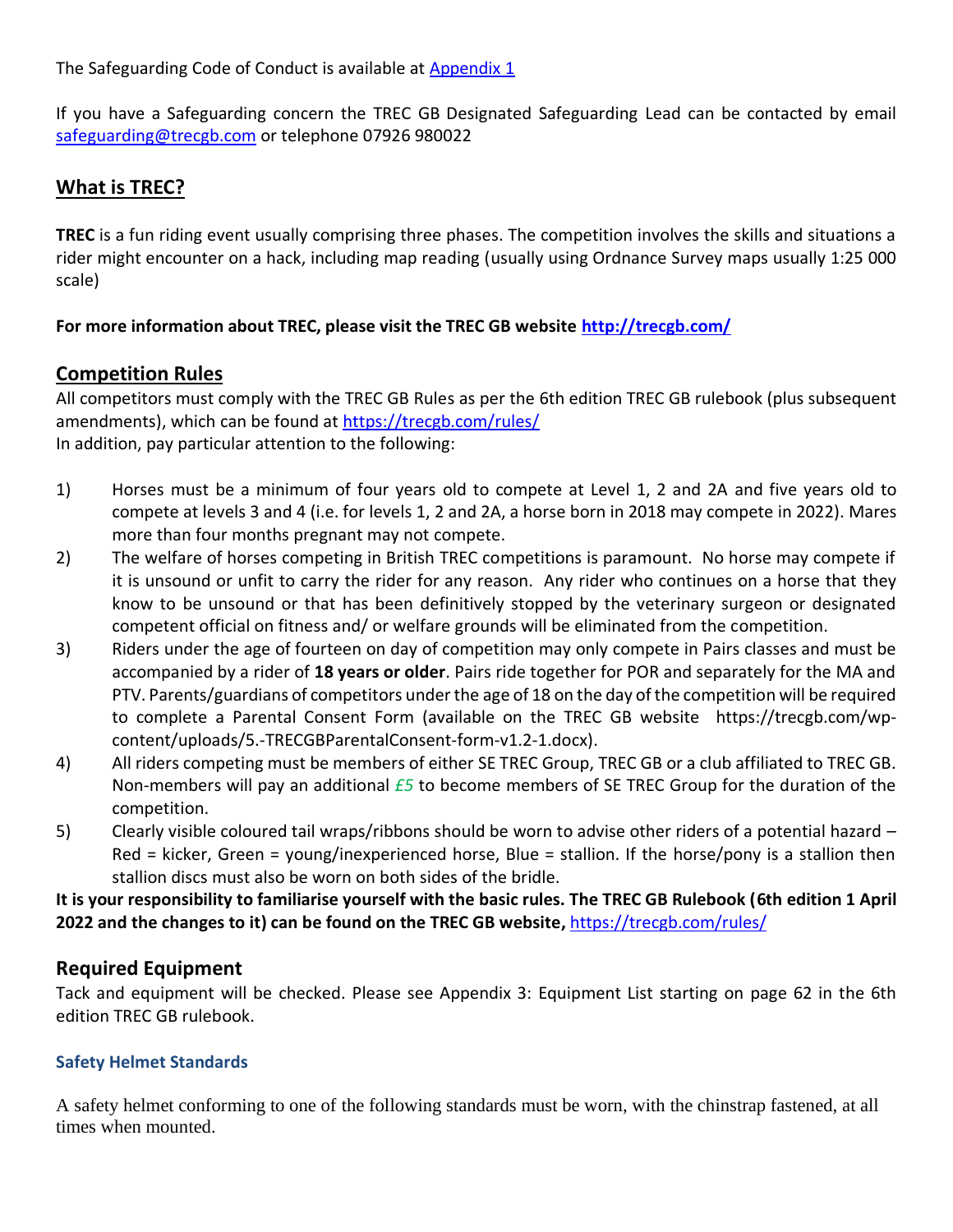The Safeguarding Code of Conduct is available at Appendix 1

If you have a Safeguarding concern the TREC GB Designated Safeguarding Lead can be contacted by email [safeguarding@trecgb.com](mailto:safeguarding@trecgb.com) or telephone 07926 980022

#### **What is TREC?**

**TREC** is a fun riding event usually comprising three phases. The competition involves the skills and situations a rider might encounter on a hack, including map reading (usually using Ordnance Survey maps usually 1:25 000 scale)

#### **For more information about TREC, please visit the TREC GB website [http://trecgb.com/](about:blank)**

#### **Competition Rules**

All competitors must comply with the TREC GB Rules as per the 6th edition TREC GB rulebook (plus subsequent amendments), which can be found at [https://trecgb.com/rules/](about:blank) In addition, pay particular attention to the following:

- 1) Horses must be a minimum of four years old to compete at Level 1, 2 and 2A and five years old to compete at levels 3 and 4 (i.e. for levels 1, 2 and 2A, a horse born in 2018 may compete in 2022). Mares more than four months pregnant may not compete.
- 2) The welfare of horses competing in British TREC competitions is paramount. No horse may compete if it is unsound or unfit to carry the rider for any reason. Any rider who continues on a horse that they know to be unsound or that has been definitively stopped by the veterinary surgeon or designated competent official on fitness and/ or welfare grounds will be eliminated from the competition.
- 3) Riders under the age of fourteen on day of competition may only compete in Pairs classes and must be accompanied by a rider of **18 years or older**. Pairs ride together for POR and separately for the MA and PTV. Parents/guardians of competitors under the age of 18 on the day of the competition will be required to complete a Parental Consent Form (available on the TREC GB website https://trecgb.com/wpcontent/uploads/5.-TRECGBParentalConsent-form-v1.2-1.docx).
- 4) All riders competing must be members of either SE TREC Group, TREC GB or a club affiliated to TREC GB. Non-members will pay an additional *£5* to become members of SE TREC Group for the duration of the competition.
- 5) Clearly visible coloured tail wraps/ribbons should be worn to advise other riders of a potential hazard Red = kicker, Green = young/inexperienced horse, Blue = stallion. If the horse/pony is a stallion then stallion discs must also be worn on both sides of the bridle.

**It is your responsibility to familiarise yourself with the basic rules. The TREC GB Rulebook (6th edition 1 April 2022 and the changes to it) can be found on the TREC GB website,** [https://trecgb.com/rules/](about:blank)

#### **Required Equipment**

Tack and equipment will be checked. Please see Appendix 3: Equipment List starting on page 62 in the 6th edition TREC GB rulebook.

#### **Safety Helmet Standards**

A safety helmet conforming to one of the following standards must be worn, with the chinstrap fastened, at all times when mounted.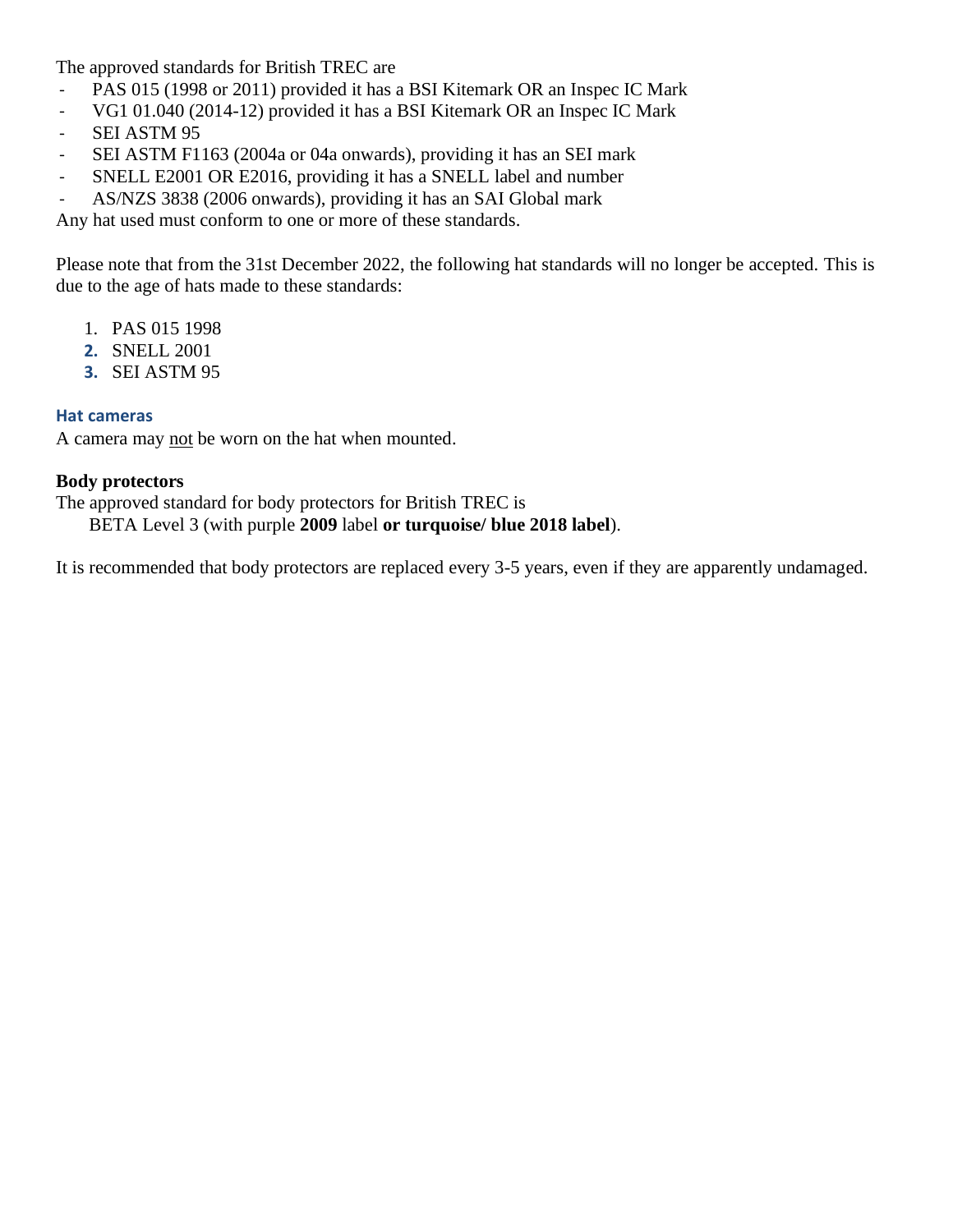The approved standards for British TREC are

- PAS 015 (1998 or 2011) provided it has a BSI Kitemark OR an Inspec IC Mark
- VG1 01.040 (2014-12) provided it has a BSI Kitemark OR an Inspec IC Mark
- SEI ASTM 95
- SEI ASTM F1163 (2004a or 04a onwards), providing it has an SEI mark
- SNELL E2001 OR E2016, providing it has a SNELL label and number
- AS/NZS 3838 (2006 onwards), providing it has an SAI Global mark

Any hat used must conform to one or more of these standards.

Please note that from the 31st December 2022, the following hat standards will no longer be accepted. This is due to the age of hats made to these standards:

- 1. PAS 015 1998
- **2.** SNELL 2001
- **3.** SEI ASTM 95

#### **Hat cameras**

A camera may not be worn on the hat when mounted.

#### **Body protectors**

The approved standard for body protectors for British TREC is

BETA Level 3 (with purple **2009** label **or turquoise/ blue 2018 label**).

It is recommended that body protectors are replaced every 3-5 years, even if they are apparently undamaged.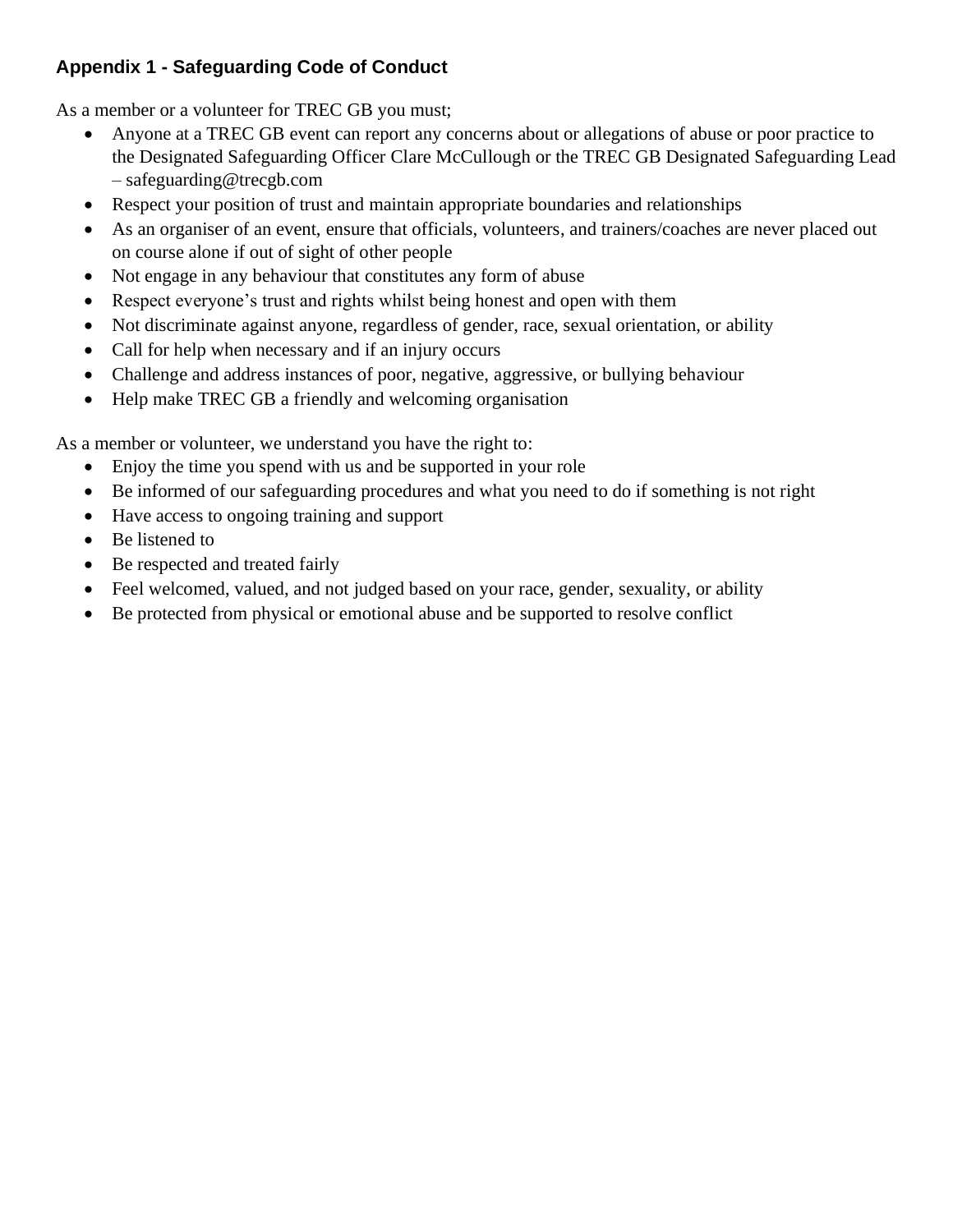### **Appendix 1 - Safeguarding Code of Conduct**

As a member or a volunteer for TREC GB you must;

- Anyone at a TREC GB event can report any concerns about or allegations of abuse or poor practice to the Designated Safeguarding Officer Clare McCullough or the TREC GB Designated Safeguarding Lead – safeguarding@trecgb.com
- Respect your position of trust and maintain appropriate boundaries and relationships
- As an organiser of an event, ensure that officials, volunteers, and trainers/coaches are never placed out on course alone if out of sight of other people
- Not engage in any behaviour that constitutes any form of abuse
- Respect everyone's trust and rights whilst being honest and open with them
- Not discriminate against anyone, regardless of gender, race, sexual orientation, or ability
- Call for help when necessary and if an injury occurs
- Challenge and address instances of poor, negative, aggressive, or bullying behaviour
- Help make TREC GB a friendly and welcoming organisation

As a member or volunteer, we understand you have the right to:

- Enjoy the time you spend with us and be supported in your role
- Be informed of our safeguarding procedures and what you need to do if something is not right
- Have access to ongoing training and support
- Be listened to
- Be respected and treated fairly
- Feel welcomed, valued, and not judged based on your race, gender, sexuality, or ability
- Be protected from physical or emotional abuse and be supported to resolve conflict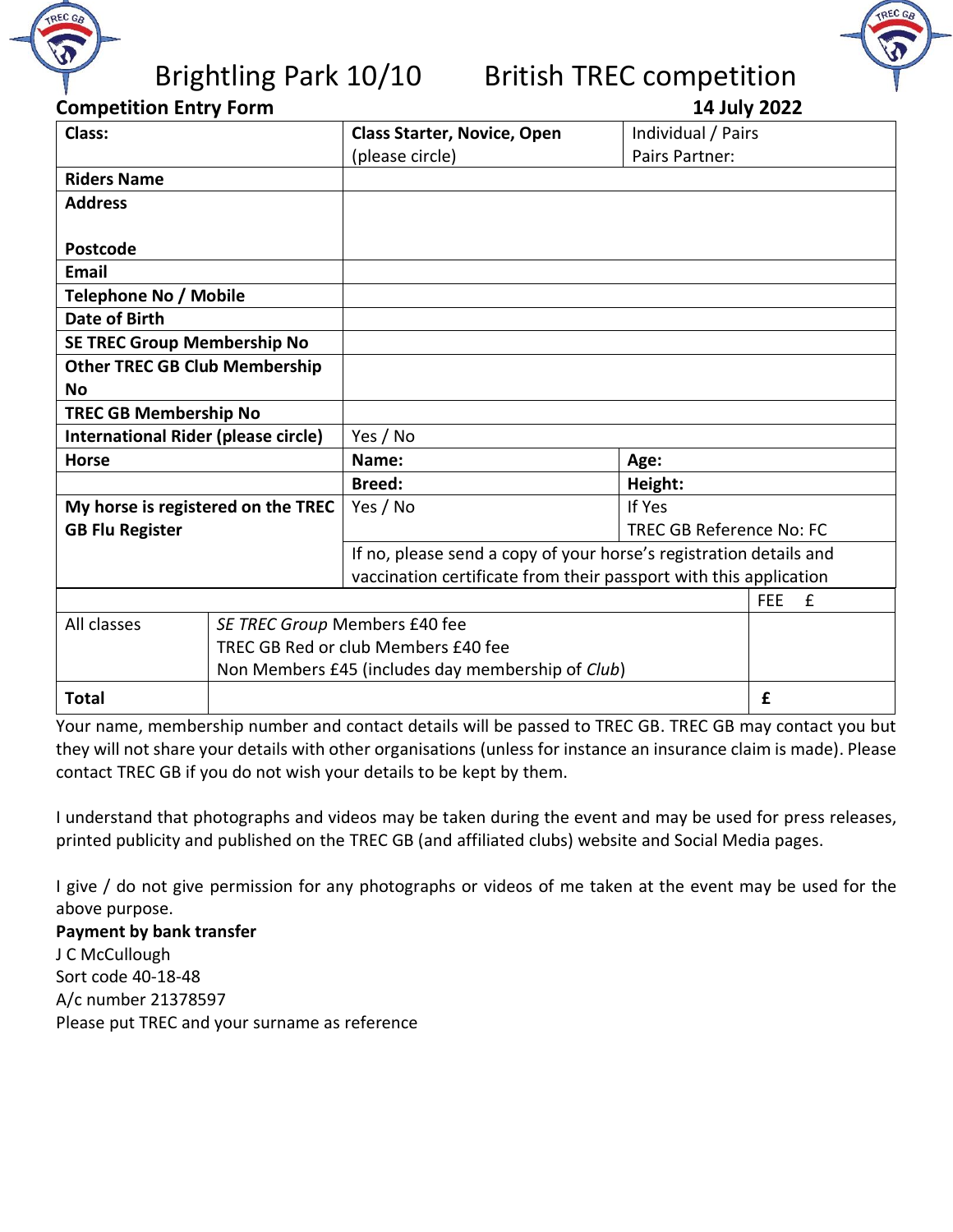

## Brightling Park 10/10 British TREC competition



| Class:                                     |                               | <b>Class Starter, Novice, Open</b>                                 | Individual / Pairs       |                            |
|--------------------------------------------|-------------------------------|--------------------------------------------------------------------|--------------------------|----------------------------|
|                                            |                               | (please circle)                                                    | Pairs Partner:           |                            |
| <b>Riders Name</b>                         |                               |                                                                    |                          |                            |
| <b>Address</b>                             |                               |                                                                    |                          |                            |
|                                            |                               |                                                                    |                          |                            |
| <b>Postcode</b>                            |                               |                                                                    |                          |                            |
| <b>Email</b>                               |                               |                                                                    |                          |                            |
| <b>Telephone No / Mobile</b>               |                               |                                                                    |                          |                            |
| <b>Date of Birth</b>                       |                               |                                                                    |                          |                            |
| <b>SE TREC Group Membership No</b>         |                               |                                                                    |                          |                            |
| <b>Other TREC GB Club Membership</b>       |                               |                                                                    |                          |                            |
| <b>No</b>                                  |                               |                                                                    |                          |                            |
| <b>TREC GB Membership No</b>               |                               |                                                                    |                          |                            |
| <b>International Rider (please circle)</b> |                               | Yes / No                                                           |                          |                            |
| <b>Horse</b>                               |                               | Name:                                                              | Age:                     |                            |
|                                            |                               | <b>Breed:</b>                                                      | Height:                  |                            |
| My horse is registered on the TREC         |                               | Yes / No                                                           | If Yes                   |                            |
| <b>GB Flu Register</b>                     |                               |                                                                    | TREC GB Reference No: FC |                            |
|                                            |                               | If no, please send a copy of your horse's registration details and |                          |                            |
|                                            |                               | vaccination certificate from their passport with this application  |                          |                            |
|                                            |                               |                                                                    |                          | $\mathbf{f}$<br><b>FEE</b> |
| All classes                                | SE TREC Group Members £40 fee |                                                                    |                          |                            |
|                                            |                               | TREC GB Red or club Members £40 fee                                |                          |                            |
|                                            |                               | Non Members £45 (includes day membership of Club)                  |                          |                            |
| <b>Total</b>                               |                               |                                                                    |                          | £                          |

Your name, membership number and contact details will be passed to TREC GB. TREC GB may contact you but they will not share your details with other organisations (unless for instance an insurance claim is made). Please contact TREC GB if you do not wish your details to be kept by them.

I understand that photographs and videos may be taken during the event and may be used for press releases, printed publicity and published on the TREC GB (and affiliated clubs) website and Social Media pages.

I give / do not give permission for any photographs or videos of me taken at the event may be used for the above purpose.

**Payment by bank transfer** J C McCullough Sort code 40-18-48 A/c number 21378597 Please put TREC and your surname as reference